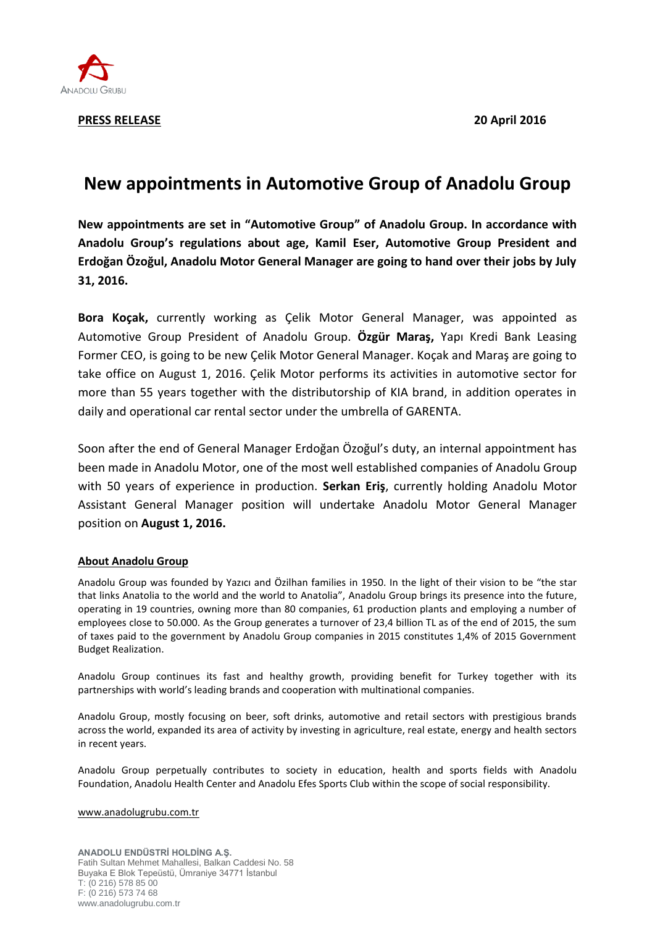

**PRESS RELEASE 20 April 2016**

## **New appointments in Automotive Group of Anadolu Group**

**New appointments are set in "Automotive Group" of Anadolu Group. In accordance with Anadolu Group's regulations about age, Kamil Eser, Automotive Group President and Erdoğan Özoğul, Anadolu Motor General Manager are going to hand over their jobs by July 31, 2016.** 

**Bora Koçak,** currently working as Çelik Motor General Manager, was appointed as Automotive Group President of Anadolu Group. **Özgür Maraş,** Yapı Kredi Bank Leasing Former CEO, is going to be new Çelik Motor General Manager. Koçak and Maraş are going to take office on August 1, 2016. Çelik Motor performs its activities in automotive sector for more than 55 years together with the distributorship of KIA brand, in addition operates in daily and operational car rental sector under the umbrella of GARENTA.

Soon after the end of General Manager Erdoğan Özoğul's duty, an internal appointment has been made in Anadolu Motor, one of the most well established companies of Anadolu Group with 50 years of experience in production. **Serkan Eriş**, currently holding Anadolu Motor Assistant General Manager position will undertake Anadolu Motor General Manager position on **August 1, 2016.** 

## **About Anadolu Group**

Anadolu Group was founded by Yazıcı and Özilhan families in 1950. In the light of their vision to be "the star that links Anatolia to the world and the world to Anatolia", Anadolu Group brings its presence into the future, operating in 19 countries, owning more than 80 companies, 61 production plants and employing a number of employees close to 50.000. As the Group generates a turnover of 23,4 billion TL as of the end of 2015, the sum of taxes paid to the government by Anadolu Group companies in 2015 constitutes 1,4% of 2015 Government Budget Realization.

Anadolu Group continues its fast and healthy growth, providing benefit for Turkey together with its partnerships with world's leading brands and cooperation with multinational companies.

Anadolu Group, mostly focusing on beer, soft drinks, automotive and retail sectors with prestigious brands across the world, expanded its area of activity by investing in agriculture, real estate, energy and health sectors in recent years.

Anadolu Group perpetually contributes to society in education, health and sports fields with Anadolu Foundation, Anadolu Health Center and Anadolu Efes Sports Club within the scope of social responsibility.

## [www.anadolugrubu.com.tr](http://www.anadolugrubu.com.tr/)

**ANADOLU ENDÜSTRİ HOLDİNG A.Ş.** Fatih Sultan Mehmet Mahallesi, Balkan Caddesi No. 58 Buyaka E Blok Tepeüstü, Ümraniye 34771 İstanbul T: (0 216) 578 85 00 F: (0 216) 573 74 68 www.anadolugrubu.com.tr